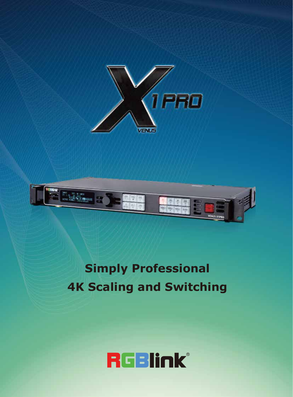



# **Simply Professional 4K Scaling and Switching**

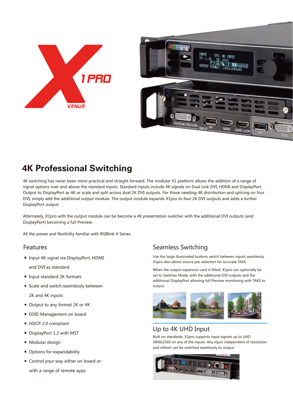

## 4K Professional Switching

4K switching has never been more practical and straight forward. The modular X1 platform allows the addition of a range of signal options over and above the standard inputs. Standard inputs include 4K signals on Dual Link DVI, HDMI and DisplayPort. Output to DisplayPort as 4K or scale and split across dual 2K DVI outputs. For those needing 4K distribution and splicing on four DVI, simply add the additional output module. The output module expands X1pro to four 2K DVI outputs and adds a further DisplayPort output.

Alternately, X1pro with the output module can be become a 4K presentation switcher with the additional DVI outputs (and DisplayPort) becoming a full Preview.

All the power and flexibility familiar with RGBlink X Series.

#### Features

■ Input 4K signal via DisplayPort, HDMI

and DVI as standard

- Input standard 2K formats
- Scale and switch seamlessly between

2K and 4K inputs

- Output to any format 2K or 4K
- **EDID Management on board**
- HDCP 2.0 compliant
- DisplayPort 1.2 with MST
- **Modular design**
- Options for expandability
- Control your way either on board or

with a range of remote apps

### Seamless Switching

Use the large illuminated buttons switch between inputs seamlessly. X1pro also allows source pre-selection for accurate TAKE.

When the output expansion card is fitted, X1pro can optionally be set to Switcher Mode, with the additional DVI outputs and the additional DisplayPort allowing full Preview monitoring with TAKE to output.



#### Up to 4K UHD Input

Built on standards, X1pro supports input signals up to UHD 3840x2160 on any of the inputs. Any input independent of resolution and refresh can be switched seamlessly to output.

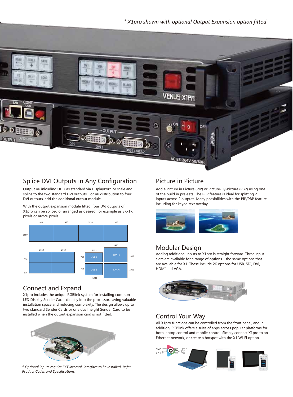#### *\* X1pro shown with optional Output Expansion option fitted*



### Splice DVI Outputs in Any Configuration Picture in Picture

Output 4K inlcuding UHD as standard via DisplayPort, or scale and splice to the two standard DVI outputs. For 4K distribution to four DVI outputs, add the additional output module.

With the output expansion module fitted, four DVI outputs of X1pro can be spliced or arranged as desired, for example as 8Kx1K pixels or 4Kx2K pixels.



#### Connect and Expand

X1pro includes the unique RGBlink system for installing common LED Display Sender Cards directly into the processor, saving valuable installation space and reducing complexity. The design allows up to two standard Sender Cards or one dual height Sender Card to be installed when the output expansion card is not fitted.



*\* Optional inputs require EXT internal interface to be installed. Refer Product Codes and Specifications.*

Add a Picture in Picture (PIP) or Picture-By-Picture (PBP) using one of the build in pre-sets. The PBP feature is ideal for splitting 2 inputs across 2 outputs. Many possibilities with the PIP/PBP feature including for keyed text overlay.



#### Modular Design

Adding additional inputs to X1pro is straight forward. Three input slots are available for a range of options – the same options that are available for X1. These include 2K options for USB, SDI, DVI, HDMI and VGA.



#### Control Your Way

All X1pro functions can be controlled from the front panel, and in addition, RGBlink offers a suite of apps across popular platforms for both laptop control and mobile control. Simply connect X1pro to an Ethernet network, or create a hotspot with the X1 Wi-Fi option.